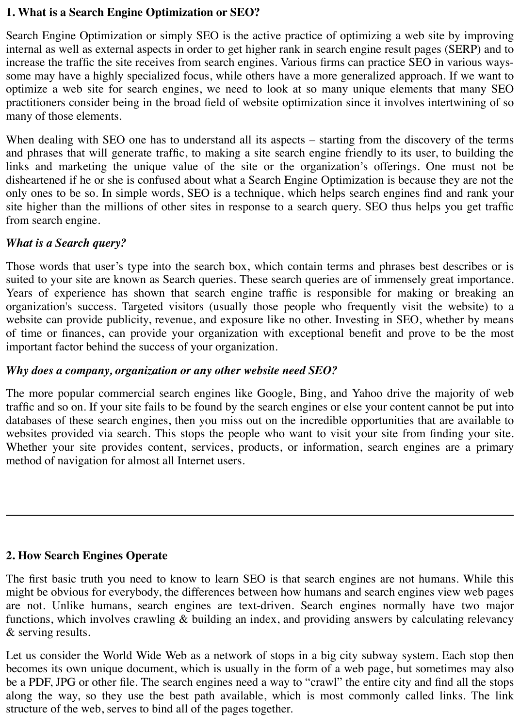### **1. What is a Search Engine Optimization or SEO?**

Search Engine Optimization or simply SEO is the active practice of optimizing a web site by improving internal as well as external aspects in order to get higher rank in search engine result pages (SERP) and to increase the traffic the site receives from search engines. Various firms can practice SEO in various wayssome may have a highly specialized focus, while others have a more generalized approach. If we want to optimize a web site for search engines, we need to look at so many unique elements that many SEO practitioners consider being in the broad field of website optimization since it involves intertwining of so many of those elements.

When dealing with SEO one has to understand all its aspects – starting from the discovery of the terms and phrases that will generate traffic, to making a site search engine friendly to its user, to building the links and marketing the unique value of the site or the organization's offerings. One must not be disheartened if he or she is confused about what a Search Engine Optimization is because they are not the only ones to be so. In simple words, SEO is a technique, which helps search engines find and rank your site higher than the millions of other sites in response to a search query. SEO thus helps you get traffic from search engine.

### *What is a Search query?*

Those words that user's type into the search box, which contain terms and phrases best describes or is suited to your site are known as Search queries. These search queries are of immensely great importance. Years of experience has shown that search engine traffic is responsible for making or breaking an organization's success. Targeted visitors (usually those people who frequently visit the website) to a website can provide publicity, revenue, and exposure like no other. Investing in SEO, whether by means of time or finances, can provide your organization with exceptional benefit and prove to be the most important factor behind the success of your organization.

### *Why does a company, organization or any other website need SEO?*

The more popular commercial search engines like Google, Bing, and Yahoo drive the majority of web traffic and so on. If your site fails to be found by the search engines or else your content cannot be put into databases of these search engines, then you miss out on the incredible opportunities that are available to websites provided via search. This stops the people who want to visit your site from finding your site. Whether your site provides content, services, products, or information, search engines are a primary method of navigation for almost all Internet users.

### **2. How Search Engines Operate**

The first basic truth you need to know to learn SEO is that search engines are not humans. While this might be obvious for everybody, the differences between how humans and search engines view web pages are not. Unlike humans, search engines are text-driven. Search engines normally have two major functions, which involves crawling & building an index, and providing answers by calculating relevancy & serving results.

Let us consider the World Wide Web as a network of stops in a big city subway system. Each stop then becomes its own unique document, which is usually in the form of a web page, but sometimes may also be a PDF, JPG or other file. The search engines need a way to "crawl" the entire city and find all the stops along the way, so they use the best path available, which is most commonly called links. The link structure of the web, serves to bind all of the pages together.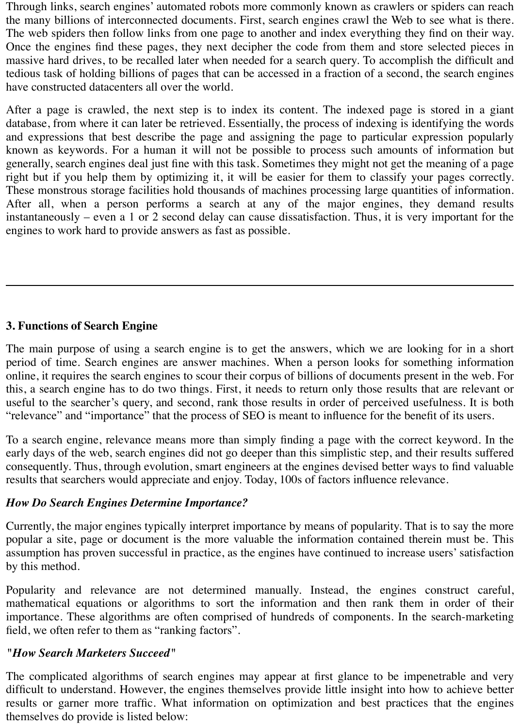Through links, search engines' automated robots more commonly known as crawlers or spiders can reach the many billions of interconnected documents. First, search engines crawl the Web to see what is there. The web spiders then follow links from one page to another and index everything they find on their way. Once the engines find these pages, they next decipher the code from them and store selected pieces in massive hard drives, to be recalled later when needed for a search query. To accomplish the difficult and tedious task of holding billions of pages that can be accessed in a fraction of a second, the search engines have constructed datacenters all over the world.

After a page is crawled, the next step is to index its content. The indexed page is stored in a giant database, from where it can later be retrieved. Essentially, the process of indexing is identifying the words and expressions that best describe the page and assigning the page to particular expression popularly known as keywords. For a human it will not be possible to process such amounts of information but generally, search engines deal just fine with this task. Sometimes they might not get the meaning of a page right but if you help them by optimizing it, it will be easier for them to classify your pages correctly. These monstrous storage facilities hold thousands of machines processing large quantities of information. After all, when a person performs a search at any of the major engines, they demand results instantaneously – even a 1 or 2 second delay can cause dissatisfaction. Thus, it is very important for the engines to work hard to provide answers as fast as possible.

### **3. Functions of Search Engine**

The main purpose of using a search engine is to get the answers, which we are looking for in a short period of time. Search engines are answer machines. When a person looks for something information online, it requires the search engines to scour their corpus of billions of documents present in the web. For this, a search engine has to do two things. First, it needs to return only those results that are relevant or useful to the searcher's query, and second, rank those results in order of perceived usefulness. It is both "relevance" and "importance" that the process of SEO is meant to influence for the benefit of its users.

To a search engine, relevance means more than simply finding a page with the correct keyword. In the early days of the web, search engines did not go deeper than this simplistic step, and their results suffered consequently. Thus, through evolution, smart engineers at the engines devised better ways to find valuable results that searchers would appreciate and enjoy. Today, 100s of factors influence relevance.

#### *How Do Search Engines Determine Importance?*

Currently, the major engines typically interpret importance by means of popularity. That is to say the more popular a site, page or document is the more valuable the information contained therein must be. This assumption has proven successful in practice, as the engines have continued to increase users' satisfaction by this method.

Popularity and relevance are not determined manually. Instead, the engines construct careful, mathematical equations or algorithms to sort the information and then rank them in order of their importance. These algorithms are often comprised of hundreds of components. In the search-marketing field, we often refer to them as "ranking factors".

#### *"How Search Marketers Succeed"*

The complicated algorithms of search engines may appear at first glance to be impenetrable and very difficult to understand. However, the engines themselves provide little insight into how to achieve better results or garner more traffic. What information on optimization and best practices that the engines themselves do provide is listed below: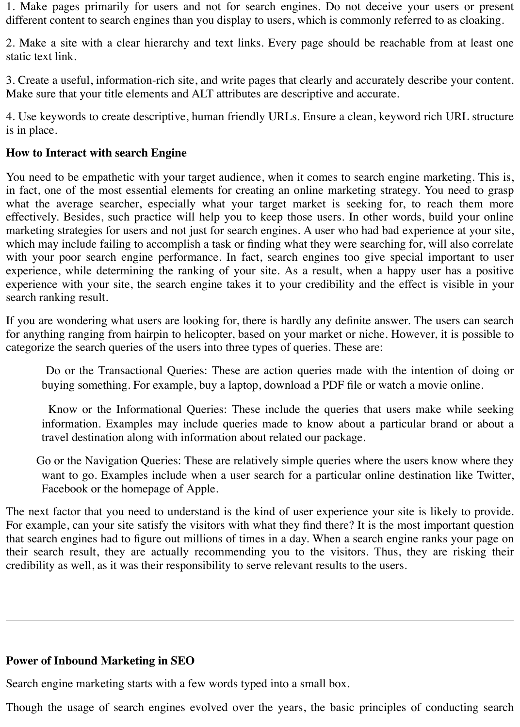1. Make pages primarily for users and not for search engines. Do not deceive your users or present different content to search engines than you display to users, which is commonly referred to as cloaking.

2. Make a site with a clear hierarchy and text links. Every page should be reachable from at least one static text link.

3. Create a useful, information-rich site, and write pages that clearly and accurately describe your content. Make sure that your title elements and ALT attributes are descriptive and accurate.

4. Use keywords to create descriptive, human friendly URLs. Ensure a clean, keyword rich URL structure is in place.

## **How to Interact with search Engine**

You need to be empathetic with your target audience, when it comes to search engine marketing. This is, in fact, one of the most essential elements for creating an online marketing strategy. You need to grasp what the average searcher, especially what your target market is seeking for, to reach them more effectively. Besides, such practice will help you to keep those users. In other words, build your online marketing strategies for users and not just for search engines. A user who had bad experience at your site, which may include failing to accomplish a task or finding what they were searching for, will also correlate with your poor search engine performance. In fact, search engines too give special important to user experience, while determining the ranking of your site. As a result, when a happy user has a positive experience with your site, the search engine takes it to your credibility and the effect is visible in your search ranking result.

If you are wondering what users are looking for, there is hardly any definite answer. The users can search for anything ranging from hairpin to helicopter, based on your market or niche. However, it is possible to categorize the search queries of the users into three types of queries. These are:

 Do or the Transactional Queries: These are action queries made with the intention of doing or buying something. For example, buy a laptop, download a PDF file or watch a movie online.

 Know or the Informational Queries: These include the queries that users make while seeking information. Examples may include queries made to know about a particular brand or about a travel destination along with information about related our package.

 Go or the Navigation Queries: These are relatively simple queries where the users know where they want to go. Examples include when a user search for a particular online destination like Twitter, Facebook or the homepage of Apple.

The next factor that you need to understand is the kind of user experience your site is likely to provide. For example, can your site satisfy the visitors with what they find there? It is the most important question that search engines had to figure out millions of times in a day. When a search engine ranks your page on their search result, they are actually recommending you to the visitors. Thus, they are risking their credibility as well, as it was their responsibility to serve relevant results to the users.

### **Power of Inbound Marketing in SEO**

Search engine marketing starts with a few words typed into a small box.

Though the usage of search engines evolved over the years, the basic principles of conducting search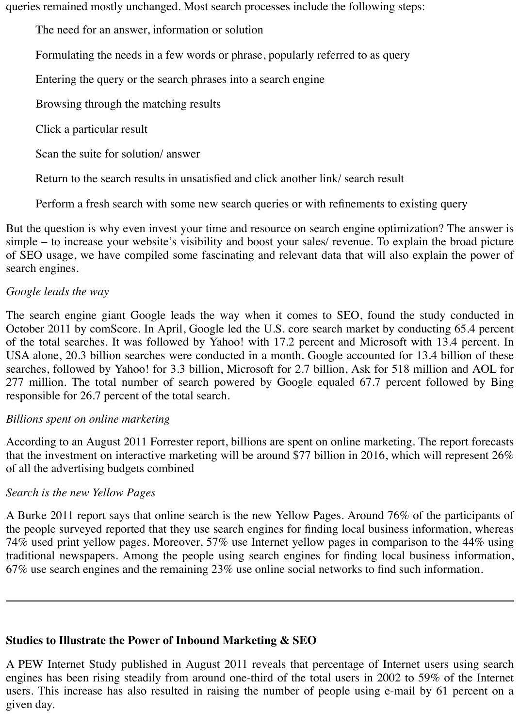queries remained mostly unchanged. Most search processes include the following steps:

The need for an answer, information or solution

Formulating the needs in a few words or phrase, popularly referred to as query

Entering the query or the search phrases into a search engine

Browsing through the matching results

Click a particular result

Scan the suite for solution/ answer

Return to the search results in unsatisfied and click another link/ search result

Perform a fresh search with some new search queries or with refinements to existing query

But the question is why even invest your time and resource on search engine optimization? The answer is simple – to increase your website's visibility and boost your sales/ revenue. To explain the broad picture of SEO usage, we have compiled some fascinating and relevant data that will also explain the power of search engines.

## *Google leads the way*

The search engine giant Google leads the way when it comes to SEO, found the study conducted in October 2011 by comScore. In April, Google led the U.S. core search market by conducting 65.4 percent of the total searches. It was followed by Yahoo! with 17.2 percent and Microsoft with 13.4 percent. In USA alone, 20.3 billion searches were conducted in a month. Google accounted for 13.4 billion of these searches, followed by Yahoo! for 3.3 billion, Microsoft for 2.7 billion, Ask for 518 million and AOL for 277 million. The total number of search powered by Google equaled 67.7 percent followed by Bing responsible for 26.7 percent of the total search.

### *Billions spent on online marketing*

According to an August 2011 Forrester report, billions are spent on online marketing. The report forecasts that the investment on interactive marketing will be around \$77 billion in 2016, which will represent 26% of all the advertising budgets combined

### *Search is the new Yellow Pages*

A Burke 2011 report says that online search is the new Yellow Pages. Around 76% of the participants of the people surveyed reported that they use search engines for finding local business information, whereas 74% used print yellow pages. Moreover, 57% use Internet yellow pages in comparison to the 44% using traditional newspapers. Among the people using search engines for finding local business information, 67% use search engines and the remaining 23% use online social networks to find such information.

# **Studies to Illustrate the Power of Inbound Marketing & SEO**

A PEW Internet Study published in August 2011 reveals that percentage of Internet users using search engines has been rising steadily from around one-third of the total users in 2002 to 59% of the Internet users. This increase has also resulted in raising the number of people using e-mail by 61 percent on a given day.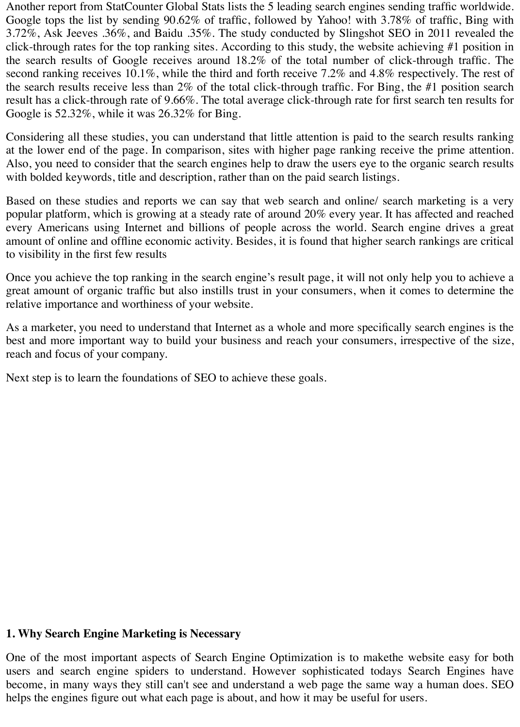Another report from StatCounter Global Stats lists the 5 leading search engines sending traffic worldwide. Google tops the list by sending 90.62% of traffic, followed by Yahoo! with 3.78% of traffic, Bing with 3.72%, Ask Jeeves .36%, and Baidu .35%. The study conducted by Slingshot SEO in 2011 revealed the click-through rates for the top ranking sites. According to this study, the website achieving #1 position in the search results of Google receives around 18.2% of the total number of click-through traffic. The second ranking receives 10.1%, while the third and forth receive 7.2% and 4.8% respectively. The rest of the search results receive less than 2% of the total click-through traffic. For Bing, the #1 position search result has a click-through rate of 9.66%. The total average click-through rate for first search ten results for Google is 52.32%, while it was 26.32% for Bing.

Considering all these studies, you can understand that little attention is paid to the search results ranking at the lower end of the page. In comparison, sites with higher page ranking receive the prime attention. Also, you need to consider that the search engines help to draw the users eye to the organic search results with bolded keywords, title and description, rather than on the paid search listings.

Based on these studies and reports we can say that web search and online/ search marketing is a very popular platform, which is growing at a steady rate of around 20% every year. It has affected and reached every Americans using Internet and billions of people across the world. Search engine drives a great amount of online and offline economic activity. Besides, it is found that higher search rankings are critical to visibility in the first few results

Once you achieve the top ranking in the search engine's result page, it will not only help you to achieve a great amount of organic traffic but also instills trust in your consumers, when it comes to determine the relative importance and worthiness of your website.

As a marketer, you need to understand that Internet as a whole and more specifically search engines is the best and more important way to build your business and reach your consumers, irrespective of the size, reach and focus of your company.

Next step is to learn the foundations of SEO to achieve these goals.

#### **1. Why Search Engine Marketing is Necessary**

One of the most important aspects of Search Engine Optimization is to makethe website easy for both users and search engine spiders to understand. However sophisticated todays Search Engines have become, in many ways they still can't see and understand a web page the same way a human does. SEO helps the engines figure out what each page is about, and how it may be useful for users.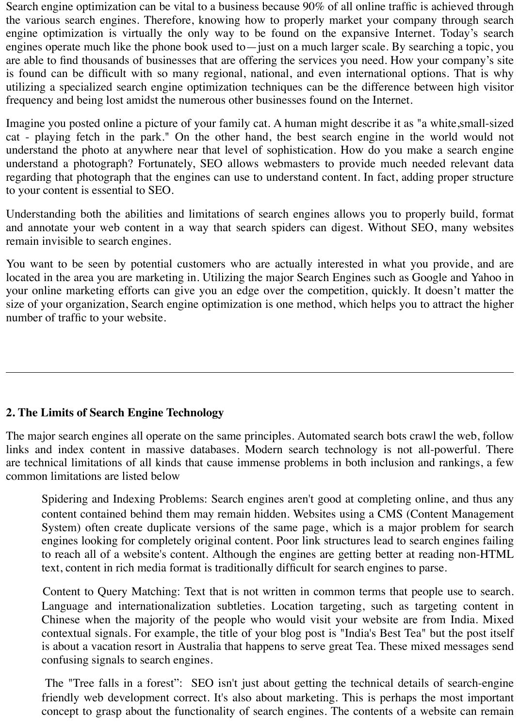Search engine optimization can be vital to a business because 90% of all online traffic is achieved through the various search engines. Therefore, knowing how to properly market your company through search engine optimization is virtually the only way to be found on the expansive Internet. Today's search engines operate much like the phone book used to—just on a much larger scale. By searching a topic, you are able to find thousands of businesses that are offering the services you need. How your company's site is found can be difficult with so many regional, national, and even international options. That is why utilizing a specialized search engine optimization techniques can be the difference between high visitor frequency and being lost amidst the numerous other businesses found on the Internet.

Imagine you posted online a picture of your family cat. A human might describe it as "a white,small-sized cat - playing fetch in the park." On the other hand, the best search engine in the world would not understand the photo at anywhere near that level of sophistication. How do you make a search engine understand a photograph? Fortunately, SEO allows webmasters to provide much needed relevant data regarding that photograph that the engines can use to understand content. In fact, adding proper structure to your content is essential to SEO.

Understanding both the abilities and limitations of search engines allows you to properly build, format and annotate your web content in a way that search spiders can digest. Without SEO, many websites remain invisible to search engines.

You want to be seen by potential customers who are actually interested in what you provide, and are located in the area you are marketing in. Utilizing the major Search Engines such as Google and Yahoo in your online marketing efforts can give you an edge over the competition, quickly. It doesn't matter the size of your organization, Search engine optimization is one method, which helps you to attract the higher number of traffic to your website.

### **2. The Limits of Search Engine Technology**

The major search engines all operate on the same principles. Automated search bots crawl the web, follow links and index content in massive databases. Modern search technology is not all-powerful. There are technical limitations of all kinds that cause immense problems in both inclusion and rankings, a few common limitations are listed below

 Spidering and Indexing Problems: Search engines aren't good at completing online, and thus any content contained behind them may remain hidden. Websites using a CMS (Content Management System) often create duplicate versions of the same page, which is a major problem for search engines looking for completely original content. Poor link structures lead to search engines failing to reach all of a website's content. Although the engines are getting better at reading non-HTML text, content in rich media format is traditionally difficult for search engines to parse.

 Content to Query Matching: Text that is not written in common terms that people use to search. Language and internationalization subtleties. Location targeting, such as targeting content in Chinese when the majority of the people who would visit your website are from India. Mixed contextual signals. For example, the title of your blog post is "India's Best Tea" but the post itself is about a vacation resort in Australia that happens to serve great Tea. These mixed messages send confusing signals to search engines.

 The "Tree falls in a forest": SEO isn't just about getting the technical details of search-engine friendly web development correct. It's also about marketing. This is perhaps the most important concept to grasp about the functionality of search engines. The contents of a website can remain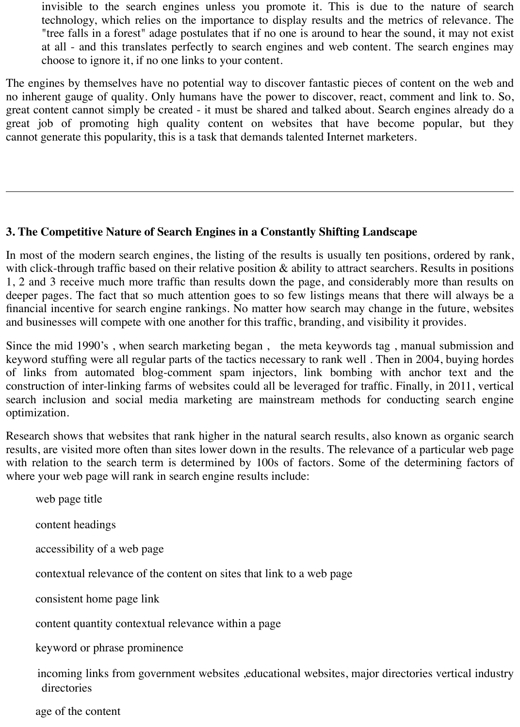invisible to the search engines unless you promote it. This is due to the nature of search technology, which relies on the importance to display results and the metrics of relevance. The "tree falls in a forest" adage postulates that if no one is around to hear the sound, it may not exist at all - and this translates perfectly to search engines and web content. The search engines may choose to ignore it, if no one links to your content.

The engines by themselves have no potential way to discover fantastic pieces of content on the web and no inherent gauge of quality. Only humans have the power to discover, react, comment and link to. So, great content cannot simply be created - it must be shared and talked about. Search engines already do a great job of promoting high quality content on websites that have become popular, but they cannot generate this popularity, this is a task that demands talented Internet marketers.

### **3. The Competitive Nature of Search Engines in a Constantly Shifting Landscape**

In most of the modern search engines, the listing of the results is usually ten positions, ordered by rank, with click-through traffic based on their relative position & ability to attract searchers. Results in positions 1, 2 and 3 receive much more traffic than results down the page, and considerably more than results on deeper pages. The fact that so much attention goes to so few listings means that there will always be a financial incentive for search engine rankings. No matter how search may change in the future, websites and businesses will compete with one another for this traffic, branding, and visibility it provides.

Since the mid 1990's , when search marketing began , the meta keywords tag , manual submission and keyword stuffing were all regular parts of the tactics necessary to rank well . Then in 2004, buying hordes of links from automated blog-comment spam injectors, link bombing with anchor text and the construction of inter-linking farms of websites could all be leveraged for traffic. Finally, in 2011, vertical search inclusion and social media marketing are mainstream methods for conducting search engine optimization.

Research shows that websites that rank higher in the natural search results, also known as organic search results, are visited more often than sites lower down in the results. The relevance of a particular web page with relation to the search term is determined by 100s of factors. Some of the determining factors of where your web page will rank in search engine results include:

web page title

content headings

accessibility of a web page

contextual relevance of the content on sites that link to a web page

consistent home page link

content quantity contextual relevance within a page

keyword or phrase prominence

incoming links from government websites ,educational websites, major directories vertical industry directories

age of the content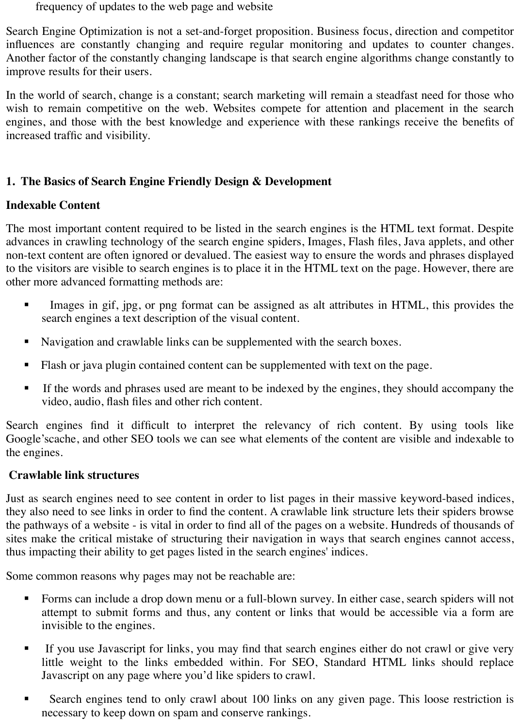frequency of updates to the web page and website

Search Engine Optimization is not a set-and-forget proposition. Business focus, direction and competitor influences are constantly changing and require regular monitoring and updates to counter changes. Another factor of the constantly changing landscape is that search engine algorithms change constantly to improve results for their users.

In the world of search, change is a constant; search marketing will remain a steadfast need for those who wish to remain competitive on the web. Websites compete for attention and placement in the search engines, and those with the best knowledge and experience with these rankings receive the benefits of increased traffic and visibility.

## **1. The Basics of Search Engine Friendly Design & Development**

### **Indexable Content**

The most important content required to be listed in the search engines is the HTML text format. Despite advances in crawling technology of the search engine spiders, Images, Flash files, Java applets, and other non-text content are often ignored or devalued. The easiest way to ensure the words and phrases displayed to the visitors are visible to search engines is to place it in the HTML text on the page. However, there are other more advanced formatting methods are:

- Images in gif, jpg, or png format can be assigned as alt attributes in HTML, this provides the search engines a text description of the visual content.
- ! Navigation and crawlable links can be supplemented with the search boxes.
- ! Flash or java plugin contained content can be supplemented with text on the page.
- ! If the words and phrases used are meant to be indexed by the engines, they should accompany the video, audio, flash files and other rich content.

Search engines find it difficult to interpret the relevancy of rich content. By using tools like Google'scache, and other SEO tools we can see what elements of the content are visible and indexable to the engines.

### **Crawlable link structures**

Just as search engines need to see content in order to list pages in their massive keyword-based indices, they also need to see links in order to find the content. A crawlable link structure lets their spiders browse the pathways of a website - is vital in order to find all of the pages on a website. Hundreds of thousands of sites make the critical mistake of structuring their navigation in ways that search engines cannot access, thus impacting their ability to get pages listed in the search engines' indices.

Some common reasons why pages may not be reachable are:

- ! Forms can include a drop down menu or a full-blown survey. In either case, search spiders will not attempt to submit forms and thus, any content or links that would be accessible via a form are invisible to the engines.
- ! If you use Javascript for links, you may find that search engines either do not crawl or give very little weight to the links embedded within. For SEO, Standard HTML links should replace Javascript on any page where you'd like spiders to crawl.
- **EXECUTE:** Search engines tend to only crawl about 100 links on any given page. This loose restriction is necessary to keep down on spam and conserve rankings.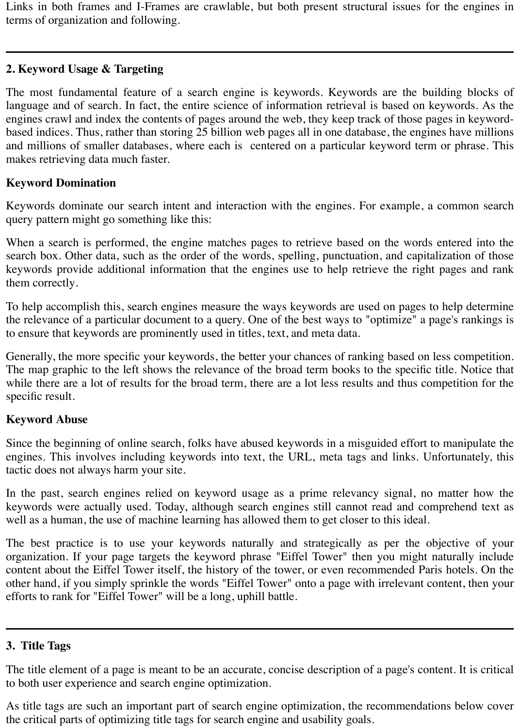Links in both frames and I-Frames are crawlable, but both present structural issues for the engines in terms of organization and following.

## **2. Keyword Usage & Targeting**

The most fundamental feature of a search engine is keywords. Keywords are the building blocks of language and of search. In fact, the entire science of information retrieval is based on keywords. As the engines crawl and index the contents of pages around the web, they keep track of those pages in keywordbased indices. Thus, rather than storing 25 billion web pages all in one database, the engines have millions and millions of smaller databases, where each is centered on a particular keyword term or phrase. This makes retrieving data much faster.

### **Keyword Domination**

Keywords dominate our search intent and interaction with the engines. For example, a common search query pattern might go something like this:

When a search is performed, the engine matches pages to retrieve based on the words entered into the search box. Other data, such as the order of the words, spelling, punctuation, and capitalization of those keywords provide additional information that the engines use to help retrieve the right pages and rank them correctly.

To help accomplish this, search engines measure the ways keywords are used on pages to help determine the relevance of a particular document to a query. One of the best ways to "optimize" a page's rankings is to ensure that keywords are prominently used in titles, text, and meta data.

Generally, the more specific your keywords, the better your chances of ranking based on less competition. The map graphic to the left shows the relevance of the broad term books to the specific title. Notice that while there are a lot of results for the broad term, there are a lot less results and thus competition for the specific result.

### **Keyword Abuse**

Since the beginning of online search, folks have abused keywords in a misguided effort to manipulate the engines. This involves including keywords into text, the URL, meta tags and links. Unfortunately, this tactic does not always harm your site.

In the past, search engines relied on keyword usage as a prime relevancy signal, no matter how the keywords were actually used. Today, although search engines still cannot read and comprehend text as well as a human, the use of machine learning has allowed them to get closer to this ideal.

The best practice is to use your keywords naturally and strategically as per the objective of your organization. If your page targets the keyword phrase "Eiffel Tower" then you might naturally include content about the Eiffel Tower itself, the history of the tower, or even recommended Paris hotels. On the other hand, if you simply sprinkle the words "Eiffel Tower" onto a page with irrelevant content, then your efforts to rank for "Eiffel Tower" will be a long, uphill battle.

### **3. Title Tags**

The title element of a page is meant to be an accurate, concise description of a page's content. It is critical to both user experience and search engine optimization.

As title tags are such an important part of search engine optimization, the recommendations below cover the critical parts of optimizing title tags for search engine and usability goals.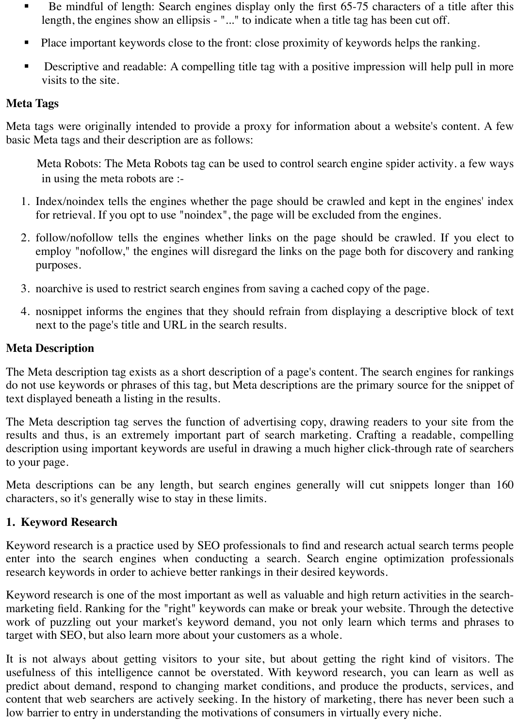- **EXECUTE:** Be mindful of length: Search engines display only the first 65-75 characters of a title after this length, the engines show an ellipsis - "..." to indicate when a title tag has been cut off.
- ! Place important keywords close to the front: close proximity of keywords helps the ranking.
- ! Descriptive and readable: A compelling title tag with a positive impression will help pull in more visits to the site.

## **Meta Tags**

Meta tags were originally intended to provide a proxy for information about a website's content. A few basic Meta tags and their description are as follows:

 Meta Robots: The Meta Robots tag can be used to control search engine spider activity. a few ways in using the meta robots are :-

- 1. Index/noindex tells the engines whether the page should be crawled and kept in the engines' index for retrieval. If you opt to use "noindex", the page will be excluded from the engines.
- 2. follow/nofollow tells the engines whether links on the page should be crawled. If you elect to employ "nofollow," the engines will disregard the links on the page both for discovery and ranking purposes.
- 3. noarchive is used to restrict search engines from saving a cached copy of the page.
- 4. nosnippet informs the engines that they should refrain from displaying a descriptive block of text next to the page's title and URL in the search results.

# **Meta Description**

The Meta description tag exists as a short description of a page's content. The search engines for rankings do not use keywords or phrases of this tag, but Meta descriptions are the primary source for the snippet of text displayed beneath a listing in the results.

The Meta description tag serves the function of advertising copy, drawing readers to your site from the results and thus, is an extremely important part of search marketing. Crafting a readable, compelling description using important keywords are useful in drawing a much higher click-through rate of searchers to your page.

Meta descriptions can be any length, but search engines generally will cut snippets longer than 160 characters, so it's generally wise to stay in these limits.

# **1. Keyword Research**

Keyword research is a practice used by SEO professionals to find and research actual search terms people enter into the search engines when conducting a search. Search engine optimization professionals research keywords in order to achieve better rankings in their desired keywords.

Keyword research is one of the most important as well as valuable and high return activities in the searchmarketing field. Ranking for the "right" keywords can make or break your website. Through the detective work of puzzling out your market's keyword demand, you not only learn which terms and phrases to target with SEO, but also learn more about your customers as a whole.

It is not always about getting visitors to your site, but about getting the right kind of visitors. The usefulness of this intelligence cannot be overstated. With keyword research, you can learn as well as predict about demand, respond to changing market conditions, and produce the products, services, and content that web searchers are actively seeking. In the history of marketing, there has never been such a low barrier to entry in understanding the motivations of consumers in virtually every niche.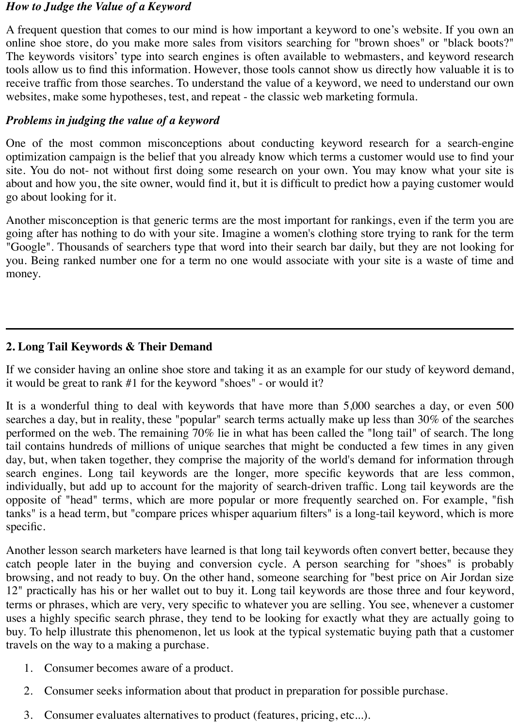#### *How to Judge the Value of a Keyword*

A frequent question that comes to our mind is how important a keyword to one's website. If you own an online shoe store, do you make more sales from visitors searching for "brown shoes" or "black boots?" The keywords visitors' type into search engines is often available to webmasters, and keyword research tools allow us to find this information. However, those tools cannot show us directly how valuable it is to receive traffic from those searches. To understand the value of a keyword, we need to understand our own websites, make some hypotheses, test, and repeat - the classic web marketing formula.

#### *Problems in judging the value of a keyword*

One of the most common misconceptions about conducting keyword research for a search-engine optimization campaign is the belief that you already know which terms a customer would use to find your site. You do not- not without first doing some research on your own. You may know what your site is about and how you, the site owner, would find it, but it is difficult to predict how a paying customer would go about looking for it.

Another misconception is that generic terms are the most important for rankings, even if the term you are going after has nothing to do with your site. Imagine a women's clothing store trying to rank for the term "Google". Thousands of searchers type that word into their search bar daily, but they are not looking for you. Being ranked number one for a term no one would associate with your site is a waste of time and money.

### **2. Long Tail Keywords & Their Demand**

If we consider having an online shoe store and taking it as an example for our study of keyword demand, it would be great to rank #1 for the keyword "shoes" - or would it?

It is a wonderful thing to deal with keywords that have more than 5,000 searches a day, or even 500 searches a day, but in reality, these "popular" search terms actually make up less than 30% of the searches performed on the web. The remaining 70% lie in what has been called the "long tail" of search. The long tail contains hundreds of millions of unique searches that might be conducted a few times in any given day, but, when taken together, they comprise the majority of the world's demand for information through search engines. Long tail keywords are the longer, more specific keywords that are less common, individually, but add up to account for the majority of search-driven traffic. Long tail keywords are the opposite of "head" terms, which are more popular or more frequently searched on. For example, "fish tanks" is a head term, but "compare prices whisper aquarium filters" is a long-tail keyword, which is more specific.

Another lesson search marketers have learned is that long tail keywords often convert better, because they catch people later in the buying and conversion cycle. A person searching for "shoes" is probably browsing, and not ready to buy. On the other hand, someone searching for "best price on Air Jordan size 12" practically has his or her wallet out to buy it. Long tail keywords are those three and four keyword, terms or phrases, which are very, very specific to whatever you are selling. You see, whenever a customer uses a highly specific search phrase, they tend to be looking for exactly what they are actually going to buy. To help illustrate this phenomenon, let us look at the typical systematic buying path that a customer travels on the way to a making a purchase.

- 1. Consumer becomes aware of a product.
- 2. Consumer seeks information about that product in preparation for possible purchase.
- 3. Consumer evaluates alternatives to product (features, pricing, etc...).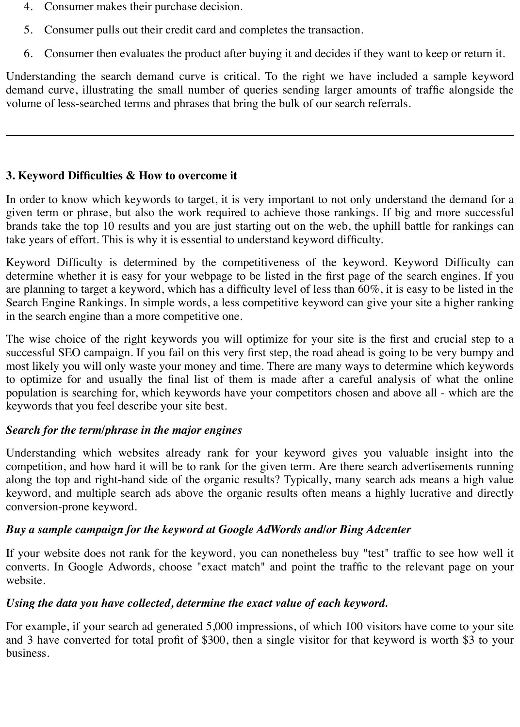- 4. Consumer makes their purchase decision.
- 5. Consumer pulls out their credit card and completes the transaction.
- 6. Consumer then evaluates the product after buying it and decides if they want to keep or return it.

Understanding the search demand curve is critical. To the right we have included a sample keyword demand curve, illustrating the small number of queries sending larger amounts of traffic alongside the volume of less-searched terms and phrases that bring the bulk of our search referrals.

## **3. Keyword Difficulties & How to overcome it**

In order to know which keywords to target, it is very important to not only understand the demand for a given term or phrase, but also the work required to achieve those rankings. If big and more successful brands take the top 10 results and you are just starting out on the web, the uphill battle for rankings can take years of effort. This is why it is essential to understand keyword difficulty.

Keyword Difficulty is determined by the competitiveness of the keyword. Keyword Difficulty can determine whether it is easy for your webpage to be listed in the first page of the search engines. If you are planning to target a keyword, which has a difficulty level of less than 60%, it is easy to be listed in the Search Engine Rankings. In simple words, a less competitive keyword can give your site a higher ranking in the search engine than a more competitive one.

The wise choice of the right keywords you will optimize for your site is the first and crucial step to a successful SEO campaign. If you fail on this very first step, the road ahead is going to be very bumpy and most likely you will only waste your money and time. There are many ways to determine which keywords to optimize for and usually the final list of them is made after a careful analysis of what the online population is searching for, which keywords have your competitors chosen and above all - which are the keywords that you feel describe your site best.

### *Search for the term/phrase in the major engines*

Understanding which websites already rank for your keyword gives you valuable insight into the competition, and how hard it will be to rank for the given term. Are there search advertisements running along the top and right-hand side of the organic results? Typically, many search ads means a high value keyword, and multiple search ads above the organic results often means a highly lucrative and directly conversion-prone keyword.

### *Buy a sample campaign for the keyword at Google AdWords and/or Bing Adcenter*

If your website does not rank for the keyword, you can nonetheless buy "test" traffic to see how well it converts. In Google Adwords, choose "exact match" and point the traffic to the relevant page on your website.

### *Using the data you have collected, determine the exact value of each keyword.*

For example, if your search ad generated 5,000 impressions, of which 100 visitors have come to your site and 3 have converted for total profit of \$300, then a single visitor for that keyword is worth \$3 to your business.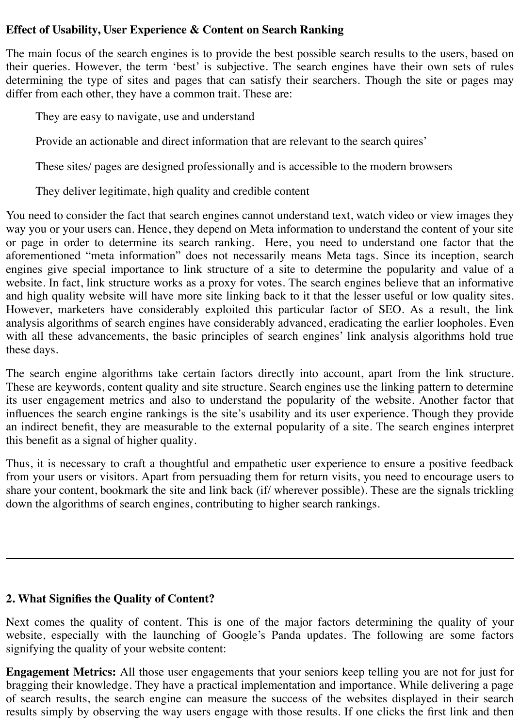### **Effect of Usability, User Experience & Content on Search Ranking**

The main focus of the search engines is to provide the best possible search results to the users, based on their queries. However, the term 'best' is subjective. The search engines have their own sets of rules determining the type of sites and pages that can satisfy their searchers. Though the site or pages may differ from each other, they have a common trait. These are:

They are easy to navigate, use and understand

Provide an actionable and direct information that are relevant to the search quires'

These sites/ pages are designed professionally and is accessible to the modern browsers

They deliver legitimate, high quality and credible content

You need to consider the fact that search engines cannot understand text, watch video or view images they way you or your users can. Hence, they depend on Meta information to understand the content of your site or page in order to determine its search ranking. Here, you need to understand one factor that the aforementioned "meta information" does not necessarily means Meta tags. Since its inception, search engines give special importance to link structure of a site to determine the popularity and value of a website. In fact, link structure works as a proxy for votes. The search engines believe that an informative and high quality website will have more site linking back to it that the lesser useful or low quality sites. However, marketers have considerably exploited this particular factor of SEO. As a result, the link analysis algorithms of search engines have considerably advanced, eradicating the earlier loopholes. Even with all these advancements, the basic principles of search engines' link analysis algorithms hold true these days.

The search engine algorithms take certain factors directly into account, apart from the link structure. These are keywords, content quality and site structure. Search engines use the linking pattern to determine its user engagement metrics and also to understand the popularity of the website. Another factor that influences the search engine rankings is the site's usability and its user experience. Though they provide an indirect benefit, they are measurable to the external popularity of a site. The search engines interpret this benefit as a signal of higher quality.

Thus, it is necessary to craft a thoughtful and empathetic user experience to ensure a positive feedback from your users or visitors. Apart from persuading them for return visits, you need to encourage users to share your content, bookmark the site and link back (if/ wherever possible). These are the signals trickling down the algorithms of search engines, contributing to higher search rankings.

#### **2. What Signifies the Quality of Content?**

Next comes the quality of content. This is one of the major factors determining the quality of your website, especially with the launching of Google's Panda updates. The following are some factors signifying the quality of your website content:

**Engagement Metrics:** All those user engagements that your seniors keep telling you are not for just for bragging their knowledge. They have a practical implementation and importance. While delivering a page of search results, the search engine can measure the success of the websites displayed in their search results simply by observing the way users engage with those results. If one clicks the first link and then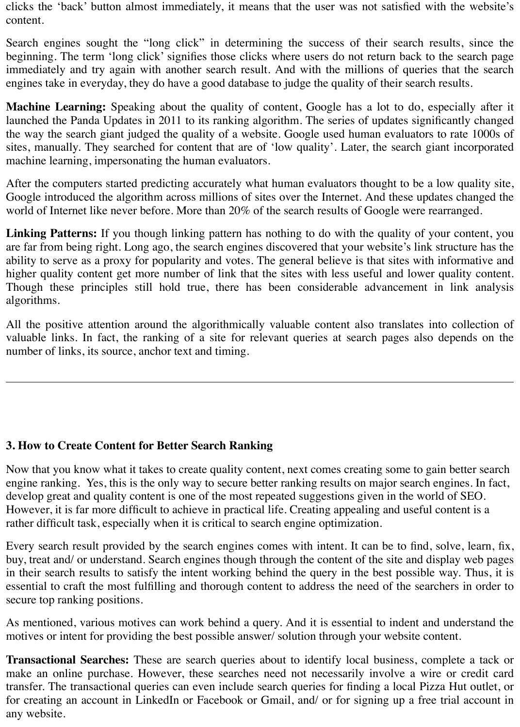clicks the 'back' button almost immediately, it means that the user was not satisfied with the website's content.

Search engines sought the "long click" in determining the success of their search results, since the beginning. The term 'long click' signifies those clicks where users do not return back to the search page immediately and try again with another search result. And with the millions of queries that the search engines take in everyday, they do have a good database to judge the quality of their search results.

**Machine Learning:** Speaking about the quality of content, Google has a lot to do, especially after it launched the Panda Updates in 2011 to its ranking algorithm. The series of updates significantly changed the way the search giant judged the quality of a website. Google used human evaluators to rate 1000s of sites, manually. They searched for content that are of 'low quality'. Later, the search giant incorporated machine learning, impersonating the human evaluators.

After the computers started predicting accurately what human evaluators thought to be a low quality site, Google introduced the algorithm across millions of sites over the Internet. And these updates changed the world of Internet like never before. More than 20% of the search results of Google were rearranged.

**Linking Patterns:** If you though linking pattern has nothing to do with the quality of your content, you are far from being right. Long ago, the search engines discovered that your website's link structure has the ability to serve as a proxy for popularity and votes. The general believe is that sites with informative and higher quality content get more number of link that the sites with less useful and lower quality content. Though these principles still hold true, there has been considerable advancement in link analysis algorithms.

All the positive attention around the algorithmically valuable content also translates into collection of valuable links. In fact, the ranking of a site for relevant queries at search pages also depends on the number of links, its source, anchor text and timing.

### **3. How to Create Content for Better Search Ranking**

Now that you know what it takes to create quality content, next comes creating some to gain better search engine ranking. Yes, this is the only way to secure better ranking results on major search engines. In fact, develop great and quality content is one of the most repeated suggestions given in the world of SEO. However, it is far more difficult to achieve in practical life. Creating appealing and useful content is a rather difficult task, especially when it is critical to search engine optimization.

Every search result provided by the search engines comes with intent. It can be to find, solve, learn, fix, buy, treat and/ or understand. Search engines though through the content of the site and display web pages in their search results to satisfy the intent working behind the query in the best possible way. Thus, it is essential to craft the most fulfilling and thorough content to address the need of the searchers in order to secure top ranking positions.

As mentioned, various motives can work behind a query. And it is essential to indent and understand the motives or intent for providing the best possible answer/ solution through your website content.

**Transactional Searches:** These are search queries about to identify local business, complete a tack or make an online purchase. However, these searches need not necessarily involve a wire or credit card transfer. The transactional queries can even include search queries for finding a local Pizza Hut outlet, or for creating an account in LinkedIn or Facebook or Gmail, and/ or for signing up a free trial account in any website.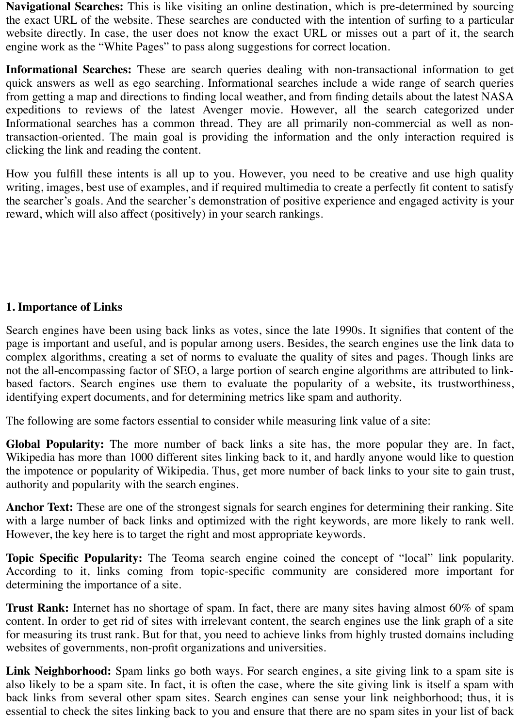**Navigational Searches:** This is like visiting an online destination, which is pre-determined by sourcing the exact URL of the website. These searches are conducted with the intention of surfing to a particular website directly. In case, the user does not know the exact URL or misses out a part of it, the search engine work as the "White Pages" to pass along suggestions for correct location.

**Informational Searches:** These are search queries dealing with non-transactional information to get quick answers as well as ego searching. Informational searches include a wide range of search queries from getting a map and directions to finding local weather, and from finding details about the latest NASA expeditions to reviews of the latest Avenger movie. However, all the search categorized under Informational searches has a common thread. They are all primarily non-commercial as well as nontransaction-oriented. The main goal is providing the information and the only interaction required is clicking the link and reading the content.

How you fulfill these intents is all up to you. However, you need to be creative and use high quality writing, images, best use of examples, and if required multimedia to create a perfectly fit content to satisfy the searcher's goals. And the searcher's demonstration of positive experience and engaged activity is your reward, which will also affect (positively) in your search rankings.

### **1. Importance of Links**

Search engines have been using back links as votes, since the late 1990s. It signifies that content of the page is important and useful, and is popular among users. Besides, the search engines use the link data to complex algorithms, creating a set of norms to evaluate the quality of sites and pages. Though links are not the all-encompassing factor of SEO, a large portion of search engine algorithms are attributed to linkbased factors. Search engines use them to evaluate the popularity of a website, its trustworthiness, identifying expert documents, and for determining metrics like spam and authority.

The following are some factors essential to consider while measuring link value of a site:

**Global Popularity:** The more number of back links a site has, the more popular they are. In fact, Wikipedia has more than 1000 different sites linking back to it, and hardly anyone would like to question the impotence or popularity of Wikipedia. Thus, get more number of back links to your site to gain trust, authority and popularity with the search engines.

**Anchor Text:** These are one of the strongest signals for search engines for determining their ranking. Site with a large number of back links and optimized with the right keywords, are more likely to rank well. However, the key here is to target the right and most appropriate keywords.

**Topic Specific Popularity:** The Teoma search engine coined the concept of "local" link popularity. According to it, links coming from topic-specific community are considered more important for determining the importance of a site.

**Trust Rank:** Internet has no shortage of spam. In fact, there are many sites having almost 60% of spam content. In order to get rid of sites with irrelevant content, the search engines use the link graph of a site for measuring its trust rank. But for that, you need to achieve links from highly trusted domains including websites of governments, non-profit organizations and universities.

**Link Neighborhood:** Spam links go both ways. For search engines, a site giving link to a spam site is also likely to be a spam site. In fact, it is often the case, where the site giving link is itself a spam with back links from several other spam sites. Search engines can sense your link neighborhood; thus, it is essential to check the sites linking back to you and ensure that there are no spam sites in your list of back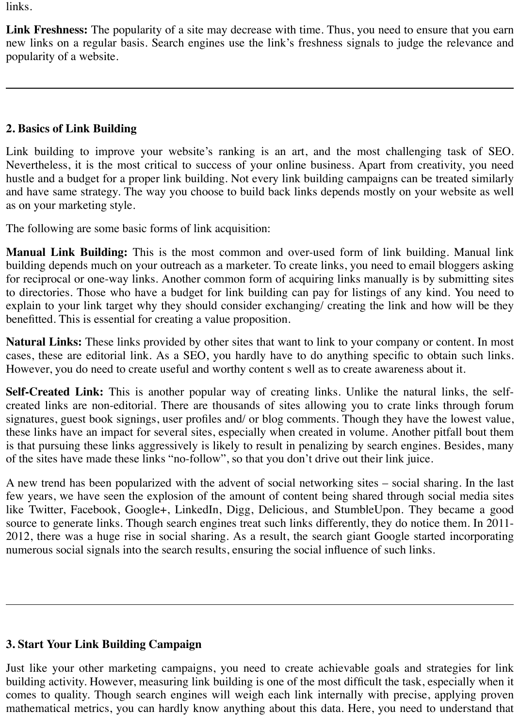links.

**Link Freshness:** The popularity of a site may decrease with time. Thus, you need to ensure that you earn new links on a regular basis. Search engines use the link's freshness signals to judge the relevance and popularity of a website.

# **2. Basics of Link Building**

Link building to improve your website's ranking is an art, and the most challenging task of SEO. Nevertheless, it is the most critical to success of your online business. Apart from creativity, you need hustle and a budget for a proper link building. Not every link building campaigns can be treated similarly and have same strategy. The way you choose to build back links depends mostly on your website as well as on your marketing style.

The following are some basic forms of link acquisition:

**Manual Link Building:** This is the most common and over-used form of link building. Manual link building depends much on your outreach as a marketer. To create links, you need to email bloggers asking for reciprocal or one-way links. Another common form of acquiring links manually is by submitting sites to directories. Those who have a budget for link building can pay for listings of any kind. You need to explain to your link target why they should consider exchanging/ creating the link and how will be they benefitted. This is essential for creating a value proposition.

**Natural Links:** These links provided by other sites that want to link to your company or content. In most cases, these are editorial link. As a SEO, you hardly have to do anything specific to obtain such links. However, you do need to create useful and worthy content s well as to create awareness about it.

**Self-Created Link:** This is another popular way of creating links. Unlike the natural links, the selfcreated links are non-editorial. There are thousands of sites allowing you to crate links through forum signatures, guest book signings, user profiles and/ or blog comments. Though they have the lowest value, these links have an impact for several sites, especially when created in volume. Another pitfall bout them is that pursuing these links aggressively is likely to result in penalizing by search engines. Besides, many of the sites have made these links "no-follow", so that you don't drive out their link juice.

A new trend has been popularized with the advent of social networking sites – social sharing. In the last few years, we have seen the explosion of the amount of content being shared through social media sites like Twitter, Facebook, Google+, LinkedIn, Digg, Delicious, and StumbleUpon. They became a good source to generate links. Though search engines treat such links differently, they do notice them. In 2011- 2012, there was a huge rise in social sharing. As a result, the search giant Google started incorporating numerous social signals into the search results, ensuring the social influence of such links.

# **3. Start Your Link Building Campaign**

Just like your other marketing campaigns, you need to create achievable goals and strategies for link building activity. However, measuring link building is one of the most difficult the task, especially when it comes to quality. Though search engines will weigh each link internally with precise, applying proven mathematical metrics, you can hardly know anything about this data. Here, you need to understand that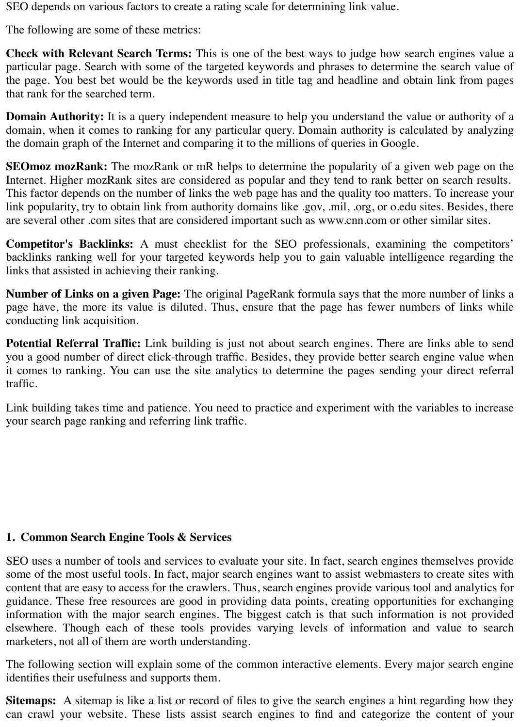SEO depends on various factors to create a rating scale for determining link value.

The following are some of these metrics:

**Check with Relevant Search Terms:** This is one of the best ways to judge how search engines value a particular page. Search with some of the targeted keywords and phrases to determine the search value of the page. You best bet would be the keywords used in title tag and headline and obtain link from pages that rank for the searched term.

**Domain Authority:** It is a query independent measure to help you understand the value or authority of a domain, when it comes to ranking for any particular query. Domain authority is calculated by analyzing the domain graph of the Internet and comparing it to the millions of queries in Google.

**SEOmoz mozRank:** The mozRank or mR helps to determine the popularity of a given web page on the Internet. Higher mozRank sites are considered as popular and they tend to rank better on search results. This factor depends on the number of links the web page has and the quality too matters. To increase your link popularity, try to obtain link from authority domains like .gov, .mil, .org, or o.edu sites. Besides, there are several other .com sites that are considered important such as www.cnn.com or other similar sites.

**Competitor's Backlinks:** A must checklist for the SEO professionals, examining the competitors' backlinks ranking well for your targeted keywords help you to gain valuable intelligence regarding the links that assisted in achieving their ranking.

**Number of Links on a given Page:** The original PageRank formula says that the more number of links a page have, the more its value is diluted. Thus, ensure that the page has fewer numbers of links while conducting link acquisition.

**Potential Referral Traffic:** Link building is just not about search engines. There are links able to send you a good number of direct click-through traffic. Besides, they provide better search engine value when it comes to ranking. You can use the site analytics to determine the pages sending your direct referral traffic.

Link building takes time and patience. You need to practice and experiment with the variables to increase your search page ranking and referring link traffic.

### **1. Common Search Engine Tools & Services**

SEO uses a number of tools and services to evaluate your site. In fact, search engines themselves provide some of the most useful tools. In fact, major search engines want to assist webmasters to create sites with content that are easy to access for the crawlers. Thus, search engines provide various tool and analytics for guidance. These free resources are good in providing data points, creating opportunities for exchanging information with the major search engines. The biggest catch is that such information is not provided elsewhere. Though each of these tools provides varying levels of information and value to search marketers, not all of them are worth understanding.

The following section will explain some of the common interactive elements. Every major search engine identifies their usefulness and supports them.

**Sitemaps:** A sitemap is like a list or record of files to give the search engines a hint regarding how they can crawl your website. These lists assist search engines to find and categorize the content of your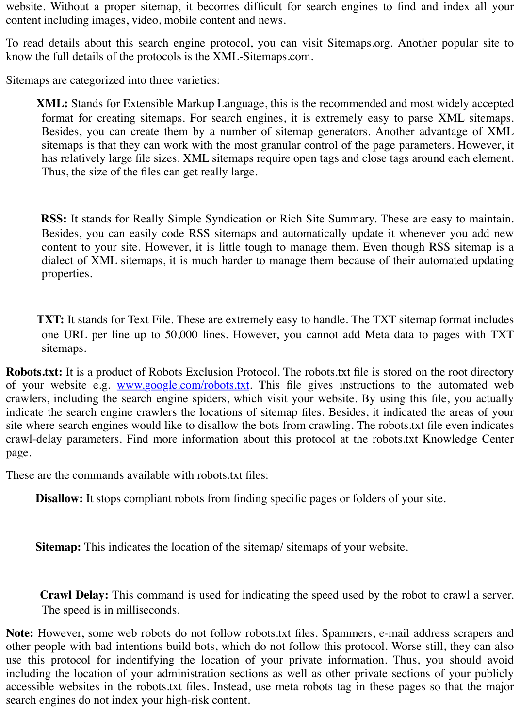website. Without a proper sitemap, it becomes difficult for search engines to find and index all your content including images, video, mobile content and news.

To read details about this search engine protocol, you can visit Sitemaps.org. Another popular site to know the full details of the protocols is the XML-Sitemaps.com.

Sitemaps are categorized into three varieties:

 **XML:** Stands for Extensible Markup Language, this is the recommended and most widely accepted format for creating sitemaps. For search engines, it is extremely easy to parse XML sitemaps. Besides, you can create them by a number of sitemap generators. Another advantage of XML sitemaps is that they can work with the most granular control of the page parameters. However, it has relatively large file sizes. XML sitemaps require open tags and close tags around each element. Thus, the size of the files can get really large.

 **RSS:** It stands for Really Simple Syndication or Rich Site Summary. These are easy to maintain. Besides, you can easily code RSS sitemaps and automatically update it whenever you add new content to your site. However, it is little tough to manage them. Even though RSS sitemap is a dialect of XML sitemaps, it is much harder to manage them because of their automated updating properties.

**TXT:** It stands for Text File. These are extremely easy to handle. The TXT sitemap format includes one URL per line up to 50,000 lines. However, you cannot add Meta data to pages with TXT sitemaps.

**Robots.txt:** It is a product of Robots Exclusion Protocol. The robots.txt file is stored on the root directory of your website e.g. **www.google.com/robots.txt**. This file gives instructions to the automated web crawlers, including the search engine spiders, which visit your website. By using this file, you actually indicate the search engine crawlers the locations of sitemap files. Besides, it indicated the areas of your site where search engines would like to disallow the bots from crawling. The robots.txt file even indicates crawl-delay parameters. Find more information about this protocol at the robots.txt Knowledge Center page.

These are the commands available with robots.txt files:

**Disallow:** It stops compliant robots from finding specific pages or folders of your site.

**Sitemap:** This indicates the location of the sitemap/ sitemaps of your website.

 **Crawl Delay:** This command is used for indicating the speed used by the robot to crawl a server. The speed is in milliseconds.

**Note:** However, some web robots do not follow robots.txt files. Spammers, e-mail address scrapers and other people with bad intentions build bots, which do not follow this protocol. Worse still, they can also use this protocol for indentifying the location of your private information. Thus, you should avoid including the location of your administration sections as well as other private sections of your publicly accessible websites in the robots.txt files. Instead, use meta robots tag in these pages so that the major search engines do not index your high-risk content.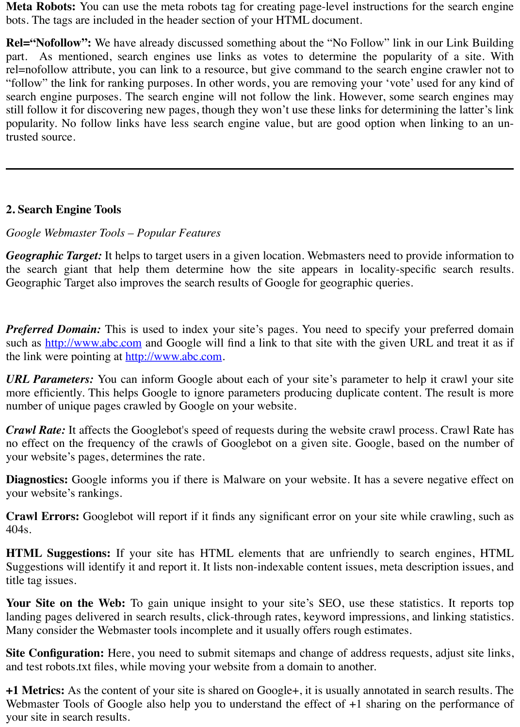**Meta Robots:** You can use the meta robots tag for creating page-level instructions for the search engine bots. The tags are included in the header section of your HTML document.

**Rel="Nofollow":** We have already discussed something about the "No Follow" link in our Link Building part. As mentioned, search engines use links as votes to determine the popularity of a site. With rel=nofollow attribute, you can link to a resource, but give command to the search engine crawler not to "follow" the link for ranking purposes. In other words, you are removing your 'vote' used for any kind of search engine purposes. The search engine will not follow the link. However, some search engines may still follow it for discovering new pages, though they won't use these links for determining the latter's link popularity. No follow links have less search engine value, but are good option when linking to an untrusted source.

## **2. Search Engine Tools**

### *Google Webmaster Tools – Popular Features*

*Geographic Target:* It helps to target users in a given location. Webmasters need to provide information to the search giant that help them determine how the site appears in locality-specific search results. Geographic Target also improves the search results of Google for geographic queries.

*Preferred Domain:* This is used to index your site's pages. You need to specify your preferred domain such as [http://www.abc.com](http://www.abc.com/) and Google will find a link to that site with the given URL and treat it as if the link were pointing at [http://www.abc.com](http://www.abc.com/).

*URL Parameters:* You can inform Google about each of your site's parameter to help it crawl your site more efficiently. This helps Google to ignore parameters producing duplicate content. The result is more number of unique pages crawled by Google on your website.

*Crawl Rate:* It affects the Googlebot's speed of requests during the website crawl process. Crawl Rate has no effect on the frequency of the crawls of Googlebot on a given site. Google, based on the number of your website's pages, determines the rate.

**Diagnostics:** Google informs you if there is Malware on your website. It has a severe negative effect on your website's rankings.

**Crawl Errors:** Googlebot will report if it finds any significant error on your site while crawling, such as 404s.

**HTML Suggestions:** If your site has HTML elements that are unfriendly to search engines, HTML Suggestions will identify it and report it. It lists non-indexable content issues, meta description issues, and title tag issues.

**Your Site on the Web:** To gain unique insight to your site's SEO, use these statistics. It reports top landing pages delivered in search results, click-through rates, keyword impressions, and linking statistics. Many consider the Webmaster tools incomplete and it usually offers rough estimates.

**Site Configuration:** Here, you need to submit sitemaps and change of address requests, adjust site links, and test robots.txt files, while moving your website from a domain to another.

**+1 Metrics:** As the content of your site is shared on Google+, it is usually annotated in search results. The Webmaster Tools of Google also help you to understand the effect of  $+1$  sharing on the performance of your site in search results.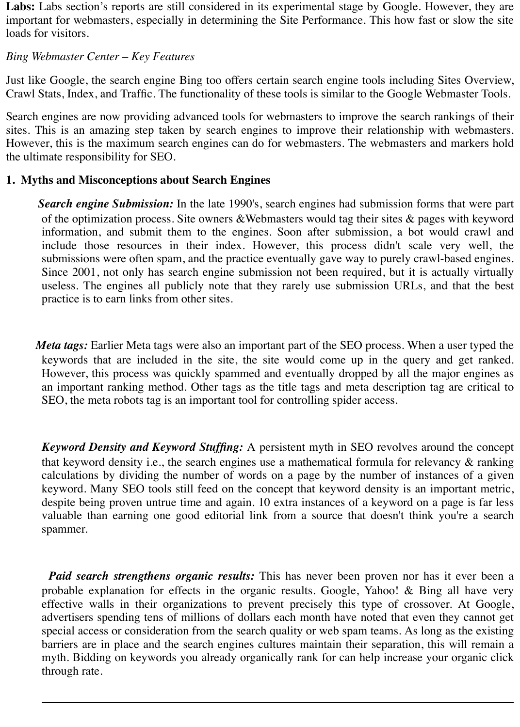Labs: Labs section's reports are still considered in its experimental stage by Google. However, they are important for webmasters, especially in determining the Site Performance. This how fast or slow the site loads for visitors.

#### *Bing Webmaster Center – Key Features*

Just like Google, the search engine Bing too offers certain search engine tools including Sites Overview, Crawl Stats, Index, and Traffic. The functionality of these tools is similar to the Google Webmaster Tools.

Search engines are now providing advanced tools for webmasters to improve the search rankings of their sites. This is an amazing step taken by search engines to improve their relationship with webmasters. However, this is the maximum search engines can do for webmasters. The webmasters and markers hold the ultimate responsibility for SEO.

### **1. Myths and Misconceptions about Search Engines**

 *Search engine Submission:* In the late 1990's, search engines had submission forms that were part of the optimization process. Site owners &Webmasters would tag their sites & pages with keyword information, and submit them to the engines. Soon after submission, a bot would crawl and include those resources in their index. However, this process didn't scale very well, the submissions were often spam, and the practice eventually gave way to purely crawl-based engines. Since 2001, not only has search engine submission not been required, but it is actually virtually useless. The engines all publicly note that they rarely use submission URLs, and that the best practice is to earn links from other sites.

 *Meta tags:* Earlier Meta tags were also an important part of the SEO process. When a user typed the keywords that are included in the site, the site would come up in the query and get ranked. However, this process was quickly spammed and eventually dropped by all the major engines as an important ranking method. Other tags as the title tags and meta description tag are critical to SEO, the meta robots tag is an important tool for controlling spider access.

 *Keyword Density and Keyword Stuffing:* A persistent myth in SEO revolves around the concept that keyword density i.e., the search engines use a mathematical formula for relevancy & ranking calculations by dividing the number of words on a page by the number of instances of a given keyword. Many SEO tools still feed on the concept that keyword density is an important metric, despite being proven untrue time and again. 10 extra instances of a keyword on a page is far less valuable than earning one good editorial link from a source that doesn't think you're a search spammer.

 *Paid search strengthens organic results:* This has never been proven nor has it ever been a probable explanation for effects in the organic results. Google, Yahoo! & Bing all have very effective walls in their organizations to prevent precisely this type of crossover. At Google, advertisers spending tens of millions of dollars each month have noted that even they cannot get special access or consideration from the search quality or web spam teams. As long as the existing barriers are in place and the search engines cultures maintain their separation, this will remain a myth. Bidding on keywords you already organically rank for can help increase your organic click through rate.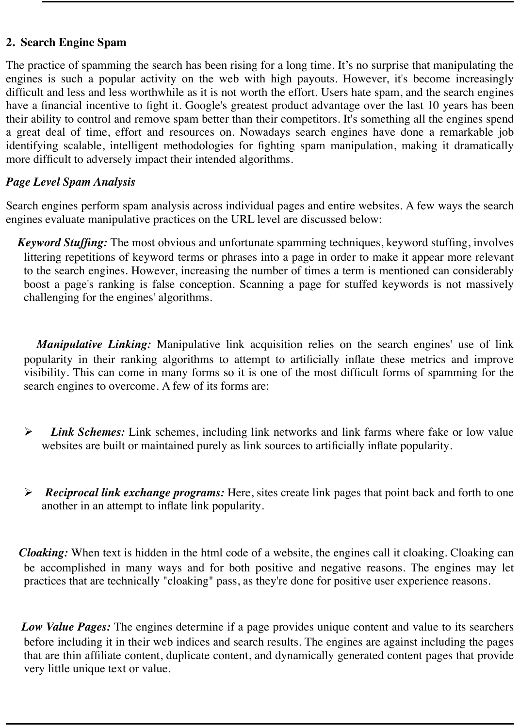### **2. Search Engine Spam**

The practice of spamming the search has been rising for a long time. It's no surprise that manipulating the engines is such a popular activity on the web with high payouts. However, it's become increasingly difficult and less and less worthwhile as it is not worth the effort. Users hate spam, and the search engines have a financial incentive to fight it. Google's greatest product advantage over the last 10 years has been their ability to control and remove spam better than their competitors. It's something all the engines spend a great deal of time, effort and resources on. Nowadays search engines have done a remarkable job identifying scalable, intelligent methodologies for fighting spam manipulation, making it dramatically more difficult to adversely impact their intended algorithms.

## *Page Level Spam Analysis*

Search engines perform spam analysis across individual pages and entire websites. A few ways the search engines evaluate manipulative practices on the URL level are discussed below:

 *Keyword Stuffing:* The most obvious and unfortunate spamming techniques, keyword stuffing, involves littering repetitions of keyword terms or phrases into a page in order to make it appear more relevant to the search engines. However, increasing the number of times a term is mentioned can considerably boost a page's ranking is false conception. Scanning a page for stuffed keywords is not massively challenging for the engines' algorithms.

*Manipulative Linking:* Manipulative link acquisition relies on the search engines' use of link popularity in their ranking algorithms to attempt to artificially inflate these metrics and improve visibility. This can come in many forms so it is one of the most difficult forms of spamming for the search engines to overcome. A few of its forms are:

- > *Link Schemes:* Link schemes, including link networks and link farms where fake or low value websites are built or maintained purely as link sources to artificially inflate popularity.
- **EXECT** *Reciprocal link exchange programs:* Here, sites create link pages that point back and forth to one another in an attempt to inflate link popularity.

 *Cloaking:* When text is hidden in the html code of a website, the engines call it cloaking. Cloaking can be accomplished in many ways and for both positive and negative reasons. The engines may let practices that are technically "cloaking" pass, as they're done for positive user experience reasons.

 *Low Value Pages:* The engines determine if a page provides unique content and value to its searchers before including it in their web indices and search results. The engines are against including the pages that are thin affiliate content, duplicate content, and dynamically generated content pages that provide very little unique text or value.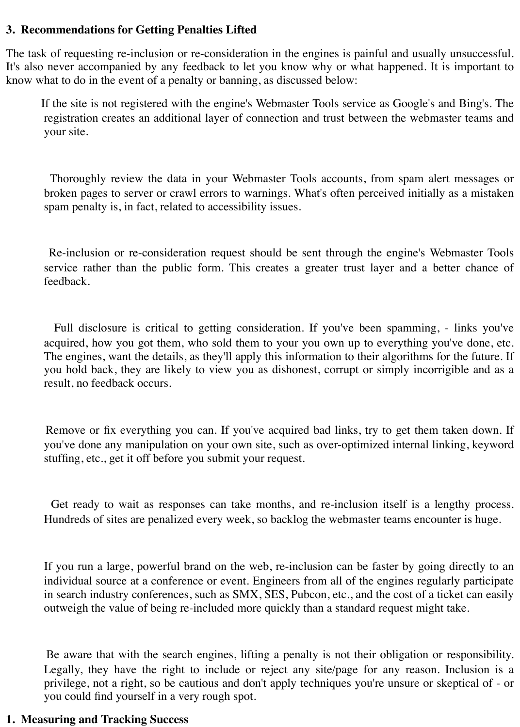#### **3. Recommendations for Getting Penalties Lifted**

The task of requesting re-inclusion or re-consideration in the engines is painful and usually unsuccessful. It's also never accompanied by any feedback to let you know why or what happened. It is important to know what to do in the event of a penalty or banning, as discussed below:

 If the site is not registered with the engine's Webmaster Tools service as Google's and Bing's. The registration creates an additional layer of connection and trust between the webmaster teams and your site.

 Thoroughly review the data in your Webmaster Tools accounts, from spam alert messages or broken pages to server or crawl errors to warnings. What's often perceived initially as a mistaken spam penalty is, in fact, related to accessibility issues.

 Re-inclusion or re-consideration request should be sent through the engine's Webmaster Tools service rather than the public form. This creates a greater trust layer and a better chance of feedback.

 Full disclosure is critical to getting consideration. If you've been spamming, - links you've acquired, how you got them, who sold them to your you own up to everything you've done, etc. The engines, want the details, as they'll apply this information to their algorithms for the future. If you hold back, they are likely to view you as dishonest, corrupt or simply incorrigible and as a result, no feedback occurs.

 Remove or fix everything you can. If you've acquired bad links, try to get them taken down. If you've done any manipulation on your own site, such as over-optimized internal linking, keyword stuffing, etc., get it off before you submit your request.

 Get ready to wait as responses can take months, and re-inclusion itself is a lengthy process. Hundreds of sites are penalized every week, so backlog the webmaster teams encounter is huge.

 If you run a large, powerful brand on the web, re-inclusion can be faster by going directly to an individual source at a conference or event. Engineers from all of the engines regularly participate in search industry conferences, such as SMX, SES, Pubcon, etc., and the cost of a ticket can easily outweigh the value of being re-included more quickly than a standard request might take.

 Be aware that with the search engines, lifting a penalty is not their obligation or responsibility. Legally, they have the right to include or reject any site/page for any reason. Inclusion is a privilege, not a right, so be cautious and don't apply techniques you're unsure or skeptical of - or you could find yourself in a very rough spot.

#### **1. Measuring and Tracking Success**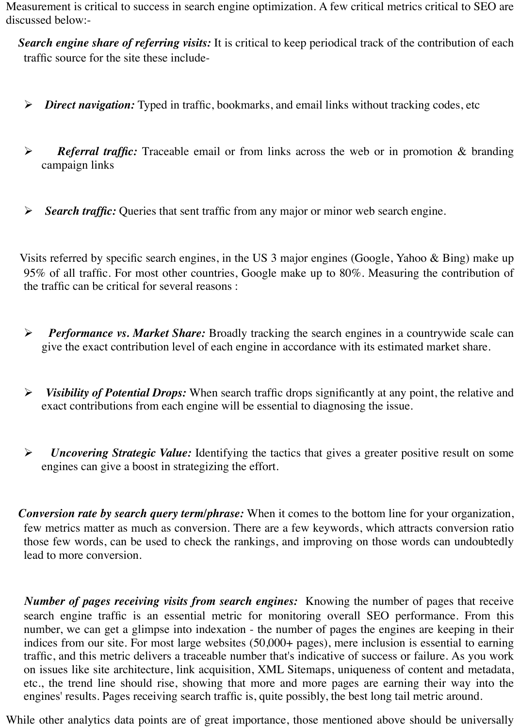Measurement is critical to success in search engine optimization. A few critical metrics critical to SEO are discussed below:-

 *Search engine share of referring visits:* It is critical to keep periodical track of the contribution of each traffic source for the site these include-

- **EXA** *Direct navigation:* Typed in traffic, bookmarks, and email links without tracking codes, etc
- **EXECUTE:** *Referral traffic:* Traceable email or from links across the web or in promotion & branding campaign links
- > *Search traffic:* Queries that sent traffic from any major or minor web search engine.

 Visits referred by specific search engines, in the US 3 major engines (Google, Yahoo & Bing) make up 95% of all traffic. For most other countries, Google make up to 80%. Measuring the contribution of the traffic can be critical for several reasons :

- **Performance vs. Market Share:** Broadly tracking the search engines in a countrywide scale can give the exact contribution level of each engine in accordance with its estimated market share.
- $\triangleright$  *Visibility of Potential Drops:* When search traffic drops significantly at any point, the relative and exact contributions from each engine will be essential to diagnosing the issue.
- > *Uncovering Strategic Value:* Identifying the tactics that gives a greater positive result on some engines can give a boost in strategizing the effort.

 *Conversion rate by search query term/phrase:* When it comes to the bottom line for your organization, few metrics matter as much as conversion. There are a few keywords, which attracts conversion ratio those few words, can be used to check the rankings, and improving on those words can undoubtedly lead to more conversion.

 *Number of pages receiving visits from search engines:* Knowing the number of pages that receive search engine traffic is an essential metric for monitoring overall SEO performance. From this number, we can get a glimpse into indexation - the number of pages the engines are keeping in their indices from our site. For most large websites (50,000+ pages), mere inclusion is essential to earning traffic, and this metric delivers a traceable number that's indicative of success or failure. As you work on issues like site architecture, link acquisition, XML Sitemaps, uniqueness of content and metadata, etc., the trend line should rise, showing that more and more pages are earning their way into the engines' results. Pages receiving search traffic is, quite possibly, the best long tail metric around.

While other analytics data points are of great importance, those mentioned above should be universally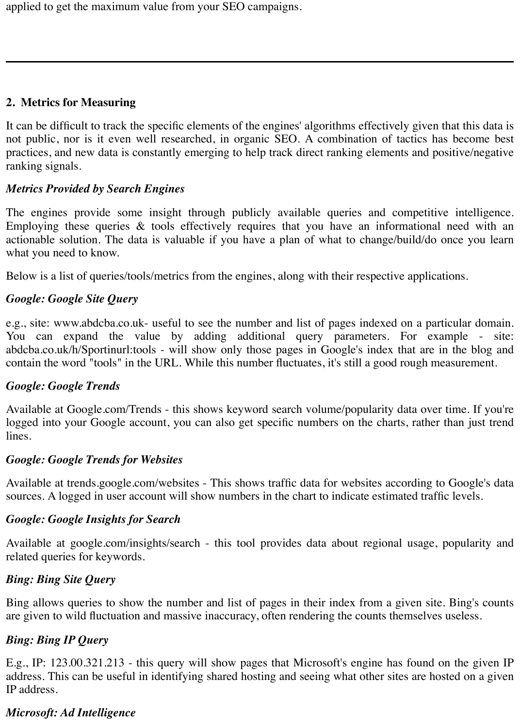applied to get the maximum value from your SEO campaigns.

#### **2. Metrics for Measuring**

It can be difficult to track the specific elements of the engines' algorithms effectively given that this data is not public, nor is it even well researched, in organic SEO. A combination of tactics has become best practices, and new data is constantly emerging to help track direct ranking elements and positive/negative ranking signals.

#### *Metrics Provided by Search Engines*

The engines provide some insight through publicly available queries and competitive intelligence. Employing these queries & tools effectively requires that you have an informational need with an actionable solution. The data is valuable if you have a plan of what to change/build/do once you learn what you need to know.

Below is a list of queries/tools/metrics from the engines, along with their respective applications.

## *Google: Google Site Query*

e.g., site: www.abdcba.co.uk- useful to see the number and list of pages indexed on a particular domain. You can expand the value by adding additional query parameters. For example - site: abdcba.co.uk/h/Sportinurl:tools - will show only those pages in Google's index that are in the blog and contain the word "tools" in the URL. While this number fluctuates, it's still a good rough measurement.

### *Google: Google Trends*

Available at Google.com/Trends - this shows keyword search volume/popularity data over time. If you're logged into your Google account, you can also get specific numbers on the charts, rather than just trend lines.

#### *Google: Google Trends for Websites*

Available at trends.google.com/websites - This shows traffic data for websites according to Google's data sources. A logged in user account will show numbers in the chart to indicate estimated traffic levels.

#### *Google: Google Insights for Search*

Available at google.com/insights/search - this tool provides data about regional usage, popularity and related queries for keywords.

### *Bing: Bing Site Query*

Bing allows queries to show the number and list of pages in their index from a given site. Bing's counts are given to wild fluctuation and massive inaccuracy, often rendering the counts themselves useless.

# *Bing: Bing IP Query*

E.g., IP: 123.00.321.213 - this query will show pages that Microsoft's engine has found on the given IP address. This can be useful in identifying shared hosting and seeing what other sites are hosted on a given IP address.

### *Microsoft: Ad Intelligence*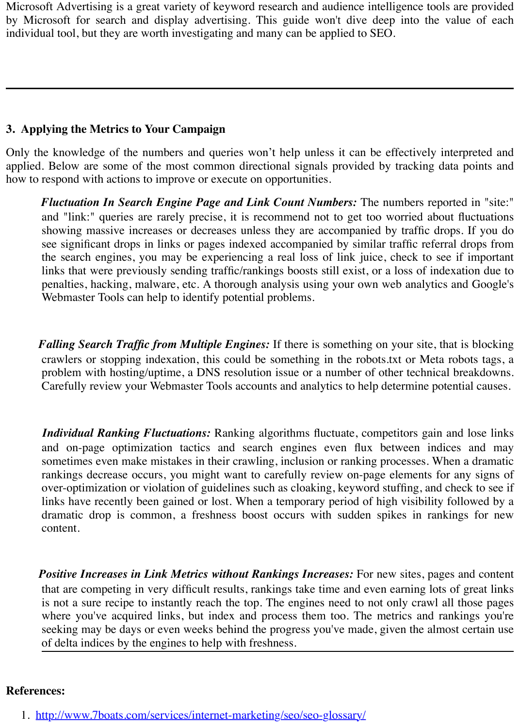Microsoft Advertising is a great variety of keyword research and audience intelligence tools are provided by Microsoft for search and display advertising. This guide won't dive deep into the value of each individual tool, but they are worth investigating and many can be applied to SEO.

#### **3. Applying the Metrics to Your Campaign**

Only the knowledge of the numbers and queries won't help unless it can be effectively interpreted and applied. Below are some of the most common directional signals provided by tracking data points and how to respond with actions to improve or execute on opportunities.

 *Fluctuation In Search Engine Page and Link Count Numbers:* The numbers reported in "site:" and "link:" queries are rarely precise, it is recommend not to get too worried about fluctuations showing massive increases or decreases unless they are accompanied by traffic drops. If you do see significant drops in links or pages indexed accompanied by similar traffic referral drops from the search engines, you may be experiencing a real loss of link juice, check to see if important links that were previously sending traffic/rankings boosts still exist, or a loss of indexation due to penalties, hacking, malware, etc. A thorough analysis using your own web analytics and Google's Webmaster Tools can help to identify potential problems.

 *Falling Search Traffic from Multiple Engines:* If there is something on your site, that is blocking crawlers or stopping indexation, this could be something in the robots.txt or Meta robots tags, a problem with hosting/uptime, a DNS resolution issue or a number of other technical breakdowns. Carefully review your Webmaster Tools accounts and analytics to help determine potential causes.

*Individual Ranking Fluctuations:* Ranking algorithms fluctuate, competitors gain and lose links and on-page optimization tactics and search engines even flux between indices and may sometimes even make mistakes in their crawling, inclusion or ranking processes. When a dramatic rankings decrease occurs, you might want to carefully review on-page elements for any signs of over-optimization or violation of guidelines such as cloaking, keyword stuffing, and check to see if links have recently been gained or lost. When a temporary period of high visibility followed by a dramatic drop is common, a freshness boost occurs with sudden spikes in rankings for new content.

 *Positive Increases in Link Metrics without Rankings Increases:* For new sites, pages and content that are competing in very difficult results, rankings take time and even earning lots of great links is not a sure recipe to instantly reach the top. The engines need to not only crawl all those pages where you've acquired links, but index and process them too. The metrics and rankings you're seeking may be days or even weeks behind the progress you've made, given the almost certain use of delta indices by the engines to help with freshness.

#### **References:**

1. <http://www.7boats.com/services/internet-marketing/seo/seo-glossary/>